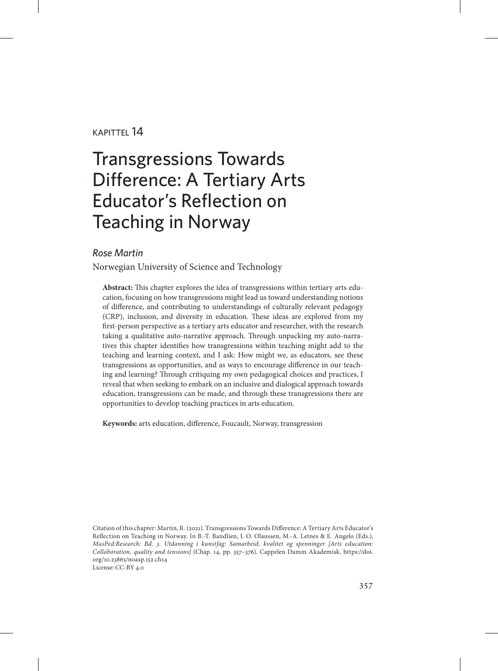#### kapittel 14

# Transgressions Towards Difference: A Tertiary Arts Educator's Reflection on Teaching in Norway

#### *Rose Martin*

Norwegian University of Science and Technology

**Abstract:** This chapter explores the idea of transgressions within tertiary arts education, focusing on how transgressions might lead us toward understanding notions of difference, and contributing to understandings of culturally relevant pedagogy (CRP), inclusion, and diversity in education. These ideas are explored from my first-person perspective as a tertiary arts educator and researcher, with the research taking a qualitative auto-narrative approach. Through unpacking my auto-narratives this chapter identifies how transgressions within teaching might add to the teaching and learning context, and I ask: How might we, as educators, see these transgressions as opportunities, and as ways to encourage difference in our teaching and learning? Through critiquing my own pedagogical choices and practices, I reveal that when seeking to embark on an inclusive and dialogical approach towards education, transgressions can be made, and through these transgressions there are opportunities to develop teaching practices in arts education.

**Keywords:** arts education, difference, Foucault, Norway, transgression

Citation of this chapter: Martin, R. (2021). Transgressions Towards Difference: A Tertiary Arts Educator's Reflection on Teaching in Norway. In B.-T. Bandlien, I. O. Olaussen, M.-A. Letnes & E. Angelo (Eds.), *MusPed:Research: Bd. 3. Utdanning i kunstfag: Samarbeid, kvalitet og spenninger [Arts education: Collaboration, quality and tensions]* (Chap. 14, pp. 357–376). Cappelen Damm Akademisk. [https://doi.](https://doi.org/10.23865/noasp.152.ch14) [org/10.23865/noasp.152.ch14](https://doi.org/10.23865/noasp.152.ch14) License: CC-BY 4.0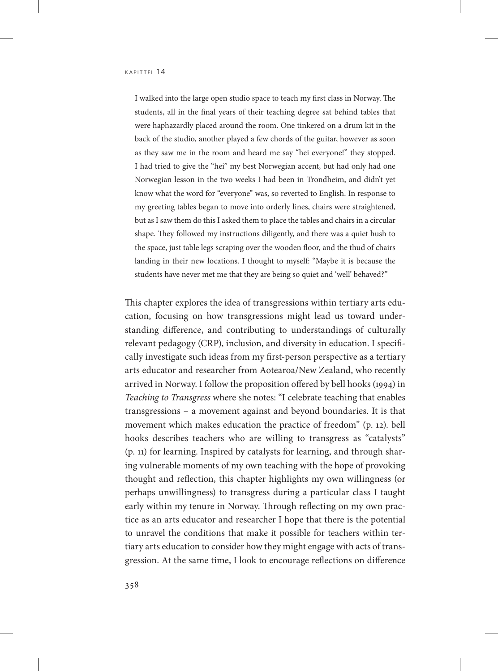I walked into the large open studio space to teach my first class in Norway. The students, all in the final years of their teaching degree sat behind tables that were haphazardly placed around the room. One tinkered on a drum kit in the back of the studio, another played a few chords of the guitar, however as soon as they saw me in the room and heard me say "hei everyone!" they stopped. I had tried to give the "hei" my best Norwegian accent, but had only had one Norwegian lesson in the two weeks I had been in Trondheim, and didn't yet know what the word for "everyone" was, so reverted to English. In response to my greeting tables began to move into orderly lines, chairs were straightened, but as I saw them do this I asked them to place the tables and chairs in a circular shape. They followed my instructions diligently, and there was a quiet hush to the space, just table legs scraping over the wooden floor, and the thud of chairs landing in their new locations. I thought to myself: "Maybe it is because the students have never met me that they are being so quiet and 'well' behaved?"

This chapter explores the idea of transgressions within tertiary arts education, focusing on how transgressions might lead us toward understanding difference, and contributing to understandings of culturally relevant pedagogy (CRP), inclusion, and diversity in education. I specifically investigate such ideas from my first-person perspective as a tertiary arts educator and researcher from Aotearoa/New Zealand, who recently arrived in Norway. I follow the proposition offered by bell hooks (1994) in *Teaching to Transgress* where she notes: "I celebrate teaching that enables transgressions – a movement against and beyond boundaries. It is that movement which makes education the practice of freedom" (p. 12). bell hooks describes teachers who are willing to transgress as "catalysts" (p. 11) for learning. Inspired by catalysts for learning, and through sharing vulnerable moments of my own teaching with the hope of provoking thought and reflection, this chapter highlights my own willingness (or perhaps unwillingness) to transgress during a particular class I taught early within my tenure in Norway. Through reflecting on my own practice as an arts educator and researcher I hope that there is the potential to unravel the conditions that make it possible for teachers within tertiary arts education to consider how they might engage with acts of transgression. At the same time, I look to encourage reflections on difference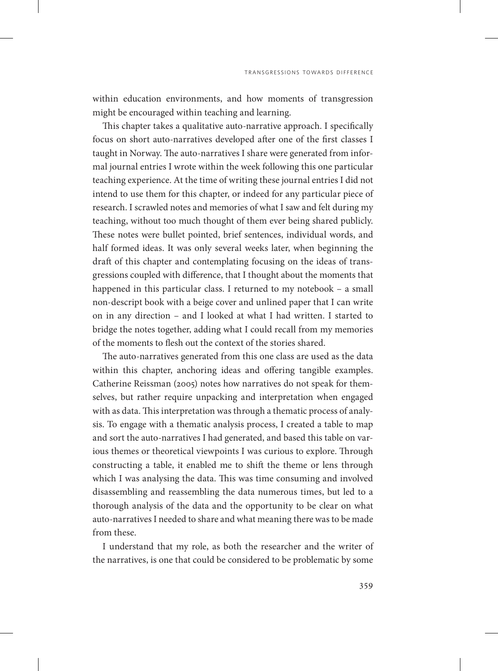within education environments, and how moments of transgression might be encouraged within teaching and learning.

This chapter takes a qualitative auto-narrative approach. I specifically focus on short auto-narratives developed after one of the first classes I taught in Norway. The auto-narratives I share were generated from informal journal entries I wrote within the week following this one particular teaching experience. At the time of writing these journal entries I did not intend to use them for this chapter, or indeed for any particular piece of research. I scrawled notes and memories of what I saw and felt during my teaching, without too much thought of them ever being shared publicly. These notes were bullet pointed, brief sentences, individual words, and half formed ideas. It was only several weeks later, when beginning the draft of this chapter and contemplating focusing on the ideas of transgressions coupled with difference, that I thought about the moments that happened in this particular class. I returned to my notebook – a small non-descript book with a beige cover and unlined paper that I can write on in any direction – and I looked at what I had written. I started to bridge the notes together, adding what I could recall from my memories of the moments to flesh out the context of the stories shared.

The auto-narratives generated from this one class are used as the data within this chapter, anchoring ideas and offering tangible examples. Catherine Reissman (2005) notes how narratives do not speak for themselves, but rather require unpacking and interpretation when engaged with as data. This interpretation was through a thematic process of analysis. To engage with a thematic analysis process, I created a table to map and sort the auto-narratives I had generated, and based this table on various themes or theoretical viewpoints I was curious to explore. Through constructing a table, it enabled me to shift the theme or lens through which I was analysing the data. This was time consuming and involved disassembling and reassembling the data numerous times, but led to a thorough analysis of the data and the opportunity to be clear on what auto-narratives I needed to share and what meaning there was to be made from these.

I understand that my role, as both the researcher and the writer of the narratives, is one that could be considered to be problematic by some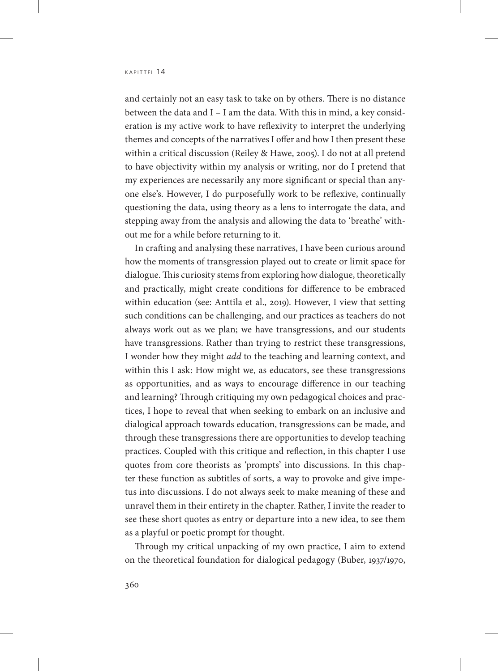and certainly not an easy task to take on by others. There is no distance between the data and I – I am the data. With this in mind, a key consideration is my active work to have reflexivity to interpret the underlying themes and concepts of the narratives I offer and how I then present these within a critical discussion (Reiley & Hawe, 2005). I do not at all pretend to have objectivity within my analysis or writing, nor do I pretend that my experiences are necessarily any more significant or special than anyone else's. However, I do purposefully work to be reflexive, continually questioning the data, using theory as a lens to interrogate the data, and stepping away from the analysis and allowing the data to 'breathe' without me for a while before returning to it.

In crafting and analysing these narratives, I have been curious around how the moments of transgression played out to create or limit space for dialogue. This curiosity stems from exploring how dialogue, theoretically and practically, might create conditions for difference to be embraced within education (see: Anttila et al., 2019). However, I view that setting such conditions can be challenging, and our practices as teachers do not always work out as we plan; we have transgressions, and our students have transgressions. Rather than trying to restrict these transgressions, I wonder how they might *add* to the teaching and learning context, and within this I ask: How might we, as educators, see these transgressions as opportunities, and as ways to encourage difference in our teaching and learning? Through critiquing my own pedagogical choices and practices, I hope to reveal that when seeking to embark on an inclusive and dialogical approach towards education, transgressions can be made, and through these transgressions there are opportunities to develop teaching practices. Coupled with this critique and reflection, in this chapter I use quotes from core theorists as 'prompts' into discussions. In this chapter these function as subtitles of sorts, a way to provoke and give impetus into discussions. I do not always seek to make meaning of these and unravel them in their entirety in the chapter. Rather, I invite the reader to see these short quotes as entry or departure into a new idea, to see them as a playful or poetic prompt for thought.

Through my critical unpacking of my own practice, I aim to extend on the theoretical foundation for dialogical pedagogy (Buber, 1937/1970,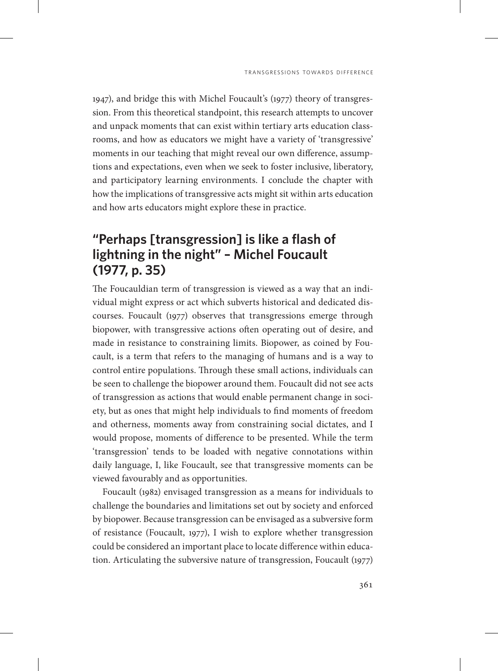1947), and bridge this with Michel Foucault's (1977) theory of transgression. From this theoretical standpoint, this research attempts to uncover and unpack moments that can exist within tertiary arts education classrooms, and how as educators we might have a variety of 'transgressive' moments in our teaching that might reveal our own difference, assumptions and expectations, even when we seek to foster inclusive, liberatory, and participatory learning environments. I conclude the chapter with how the implications of transgressive acts might sit within arts education and how arts educators might explore these in practice.

# **"Perhaps [transgression] is like a flash of lightning in the night" – Michel Foucault (1977, p. 35)**

The Foucauldian term of transgression is viewed as a way that an individual might express or act which subverts historical and dedicated discourses. Foucault (1977) observes that transgressions emerge through biopower, with transgressive actions often operating out of desire, and made in resistance to constraining limits. Biopower, as coined by Foucault, is a term that refers to the managing of humans and is a way to control entire populations. Through these small actions, individuals can be seen to challenge the biopower around them. Foucault did not see acts of transgression as actions that would enable permanent change in society, but as ones that might help individuals to find moments of freedom and otherness, moments away from constraining social dictates, and I would propose, moments of difference to be presented. While the term 'transgression' tends to be loaded with negative connotations within daily language, I, like Foucault, see that transgressive moments can be viewed favourably and as opportunities.

Foucault (1982) envisaged transgression as a means for individuals to challenge the boundaries and limitations set out by society and enforced by biopower. Because transgression can be envisaged as a subversive form of resistance (Foucault, 1977), I wish to explore whether transgression could be considered an important place to locate difference within education. Articulating the subversive nature of transgression, Foucault (1977)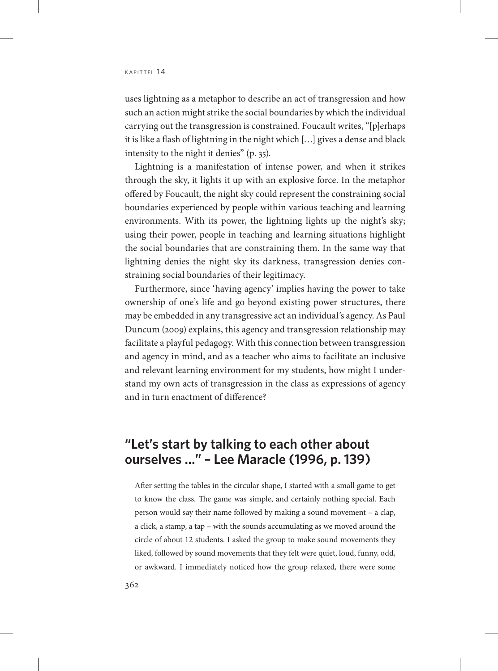uses lightning as a metaphor to describe an act of transgression and how such an action might strike the social boundaries by which the individual carrying out the transgression is constrained. Foucault writes, "[p]erhaps it is like a flash of lightning in the night which […] gives a dense and black intensity to the night it denies" (p. 35).

Lightning is a manifestation of intense power, and when it strikes through the sky, it lights it up with an explosive force. In the metaphor offered by Foucault, the night sky could represent the constraining social boundaries experienced by people within various teaching and learning environments. With its power, the lightning lights up the night's sky; using their power, people in teaching and learning situations highlight the social boundaries that are constraining them. In the same way that lightning denies the night sky its darkness, transgression denies constraining social boundaries of their legitimacy.

Furthermore, since 'having agency' implies having the power to take ownership of one's life and go beyond existing power structures, there may be embedded in any transgressive act an individual's agency. As Paul Duncum (2009) explains, this agency and transgression relationship may facilitate a playful pedagogy. With this connection between transgression and agency in mind, and as a teacher who aims to facilitate an inclusive and relevant learning environment for my students, how might I understand my own acts of transgression in the class as expressions of agency and in turn enactment of difference?

## **"Let's start by talking to each other about ourselves …" – Lee Maracle (1996, p. 139)**

After setting the tables in the circular shape, I started with a small game to get to know the class. The game was simple, and certainly nothing special. Each person would say their name followed by making a sound movement – a clap, a click, a stamp, a tap – with the sounds accumulating as we moved around the circle of about 12 students. I asked the group to make sound movements they liked, followed by sound movements that they felt were quiet, loud, funny, odd, or awkward. I immediately noticed how the group relaxed, there were some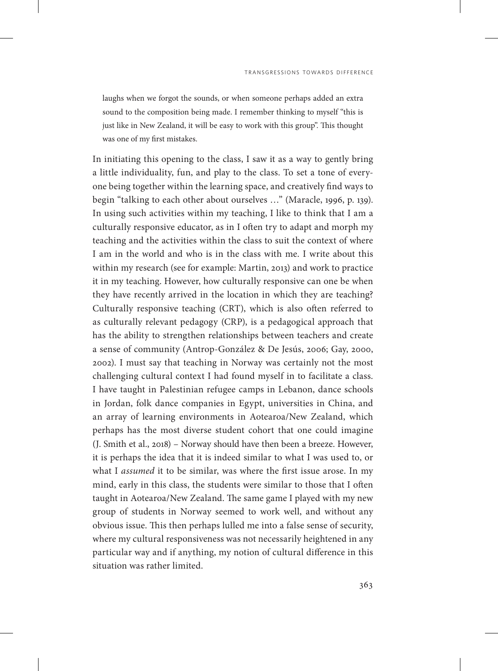laughs when we forgot the sounds, or when someone perhaps added an extra sound to the composition being made. I remember thinking to myself "this is just like in New Zealand, it will be easy to work with this group". This thought was one of my first mistakes.

In initiating this opening to the class, I saw it as a way to gently bring a little individuality, fun, and play to the class. To set a tone of everyone being together within the learning space, and creatively find ways to begin "talking to each other about ourselves …" (Maracle, 1996, p. 139). In using such activities within my teaching, I like to think that I am a culturally responsive educator, as in I often try to adapt and morph my teaching and the activities within the class to suit the context of where I am in the world and who is in the class with me. I write about this within my research (see for example: Martin, 2013) and work to practice it in my teaching. However, how culturally responsive can one be when they have recently arrived in the location in which they are teaching? Culturally responsive teaching (CRT), which is also often referred to as culturally relevant pedagogy (CRP), is a pedagogical approach that has the ability to strengthen relationships between teachers and create a sense of community (Antrop-González & De Jesús, 2006; Gay, 2000, 2002). I must say that teaching in Norway was certainly not the most challenging cultural context I had found myself in to facilitate a class. I have taught in Palestinian refugee camps in Lebanon, dance schools in Jordan, folk dance companies in Egypt, universities in China, and an array of learning environments in Aotearoa/New Zealand, which perhaps has the most diverse student cohort that one could imagine (J. Smith et al., 2018) – Norway should have then been a breeze. However, it is perhaps the idea that it is indeed similar to what I was used to, or what I *assumed* it to be similar, was where the first issue arose. In my mind, early in this class, the students were similar to those that I often taught in Aotearoa/New Zealand. The same game I played with my new group of students in Norway seemed to work well, and without any obvious issue. This then perhaps lulled me into a false sense of security, where my cultural responsiveness was not necessarily heightened in any particular way and if anything, my notion of cultural difference in this situation was rather limited.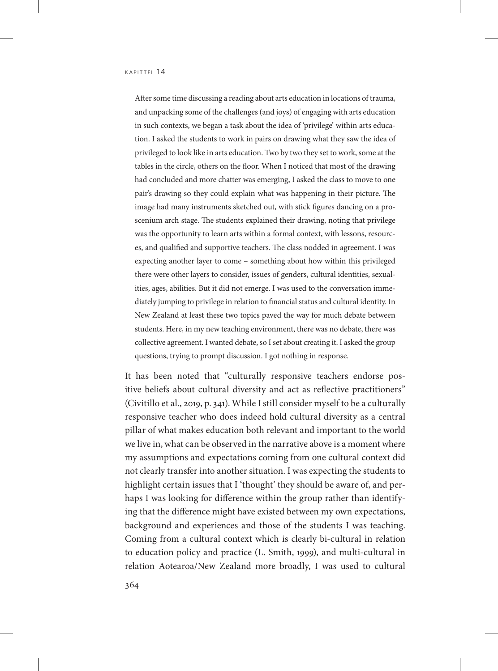After some time discussing a reading about arts education in locations of trauma, and unpacking some of the challenges (and joys) of engaging with arts education in such contexts, we began a task about the idea of 'privilege' within arts education. I asked the students to work in pairs on drawing what they saw the idea of privileged to look like in arts education. Two by two they set to work, some at the tables in the circle, others on the floor. When I noticed that most of the drawing had concluded and more chatter was emerging, I asked the class to move to one pair's drawing so they could explain what was happening in their picture. The image had many instruments sketched out, with stick figures dancing on a proscenium arch stage. The students explained their drawing, noting that privilege was the opportunity to learn arts within a formal context, with lessons, resources, and qualified and supportive teachers. The class nodded in agreement. I was expecting another layer to come – something about how within this privileged there were other layers to consider, issues of genders, cultural identities, sexualities, ages, abilities. But it did not emerge. I was used to the conversation immediately jumping to privilege in relation to financial status and cultural identity. In New Zealand at least these two topics paved the way for much debate between students. Here, in my new teaching environment, there was no debate, there was collective agreement. I wanted debate, so I set about creating it. I asked the group questions, trying to prompt discussion. I got nothing in response.

It has been noted that "culturally responsive teachers endorse positive beliefs about cultural diversity and act as reflective practitioners" (Civitillo et al., 2019, p. 341). While I still consider myself to be a culturally responsive teacher who does indeed hold cultural diversity as a central pillar of what makes education both relevant and important to the world we live in, what can be observed in the narrative above is a moment where my assumptions and expectations coming from one cultural context did not clearly transfer into another situation. I was expecting the students to highlight certain issues that I 'thought' they should be aware of, and perhaps I was looking for difference within the group rather than identifying that the difference might have existed between my own expectations, background and experiences and those of the students I was teaching. Coming from a cultural context which is clearly bi-cultural in relation to education policy and practice (L. Smith, 1999), and multi-cultural in relation Aotearoa/New Zealand more broadly, I was used to cultural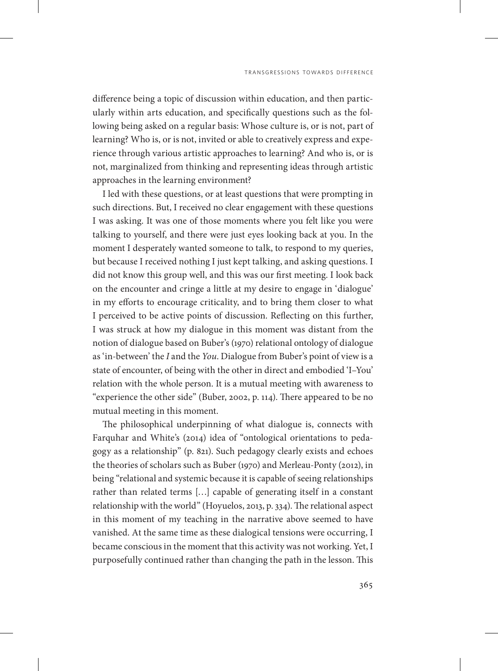difference being a topic of discussion within education, and then particularly within arts education, and specifically questions such as the following being asked on a regular basis: Whose culture is, or is not, part of learning? Who is, or is not, invited or able to creatively express and experience through various artistic approaches to learning? And who is, or is not, marginalized from thinking and representing ideas through artistic approaches in the learning environment?

I led with these questions, or at least questions that were prompting in such directions. But, I received no clear engagement with these questions I was asking. It was one of those moments where you felt like you were talking to yourself, and there were just eyes looking back at you. In the moment I desperately wanted someone to talk, to respond to my queries, but because I received nothing I just kept talking, and asking questions. I did not know this group well, and this was our first meeting. I look back on the encounter and cringe a little at my desire to engage in 'dialogue' in my efforts to encourage criticality, and to bring them closer to what I perceived to be active points of discussion. Reflecting on this further, I was struck at how my dialogue in this moment was distant from the notion of dialogue based on Buber's (1970) relational ontology of dialogue as 'in-between' the *I* and the *You*. Dialogue from Buber's point of view is a state of encounter, of being with the other in direct and embodied 'I–You' relation with the whole person. It is a mutual meeting with awareness to "experience the other side" (Buber, 2002, p. 114). There appeared to be no mutual meeting in this moment.

The philosophical underpinning of what dialogue is, connects with Farquhar and White's (2014) idea of "ontological orientations to pedagogy as a relationship" (p. 821). Such pedagogy clearly exists and echoes the theories of scholars such as Buber (1970) and Merleau-Ponty (2012), in being "relational and systemic because it is capable of seeing relationships rather than related terms […] capable of generating itself in a constant relationship with the world" (Hoyuelos, 2013, p. 334). The relational aspect in this moment of my teaching in the narrative above seemed to have vanished. At the same time as these dialogical tensions were occurring, I became conscious in the moment that this activity was not working. Yet, I purposefully continued rather than changing the path in the lesson. This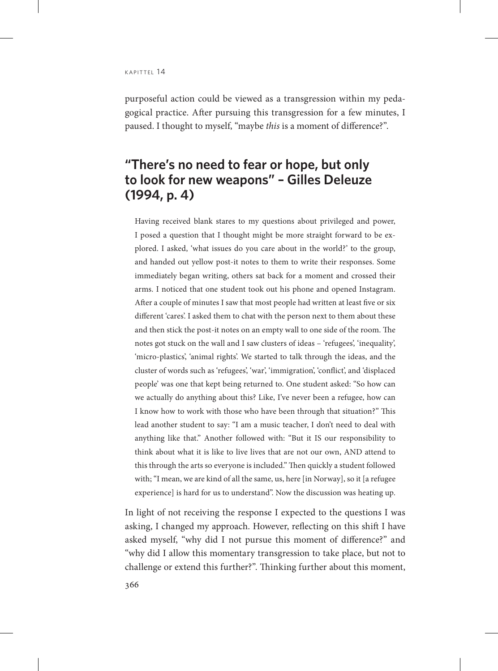purposeful action could be viewed as a transgression within my pedagogical practice. After pursuing this transgression for a few minutes, I paused. I thought to myself, "maybe *this* is a moment of difference?".

# **"There's no need to fear or hope, but only to look for new weapons" – Gilles Deleuze (1994, p. 4)**

Having received blank stares to my questions about privileged and power, I posed a question that I thought might be more straight forward to be explored. I asked, 'what issues do you care about in the world?' to the group, and handed out yellow post-it notes to them to write their responses. Some immediately began writing, others sat back for a moment and crossed their arms. I noticed that one student took out his phone and opened Instagram. After a couple of minutes I saw that most people had written at least five or six different 'cares'. I asked them to chat with the person next to them about these and then stick the post-it notes on an empty wall to one side of the room. The notes got stuck on the wall and I saw clusters of ideas – 'refugees', 'inequality', 'micro-plastics', 'animal rights'. We started to talk through the ideas, and the cluster of words such as 'refugees', 'war', 'immigration', 'conflict', and 'displaced people' was one that kept being returned to. One student asked: "So how can we actually do anything about this? Like, I've never been a refugee, how can I know how to work with those who have been through that situation?" This lead another student to say: "I am a music teacher, I don't need to deal with anything like that." Another followed with: "But it IS our responsibility to think about what it is like to live lives that are not our own, AND attend to this through the arts so everyone is included." Then quickly a student followed with; "I mean, we are kind of all the same, us, here [in Norway], so it [a refugee experience] is hard for us to understand". Now the discussion was heating up.

In light of not receiving the response I expected to the questions I was asking, I changed my approach. However, reflecting on this shift I have asked myself, "why did I not pursue this moment of difference?" and "why did I allow this momentary transgression to take place, but not to challenge or extend this further?". Thinking further about this moment,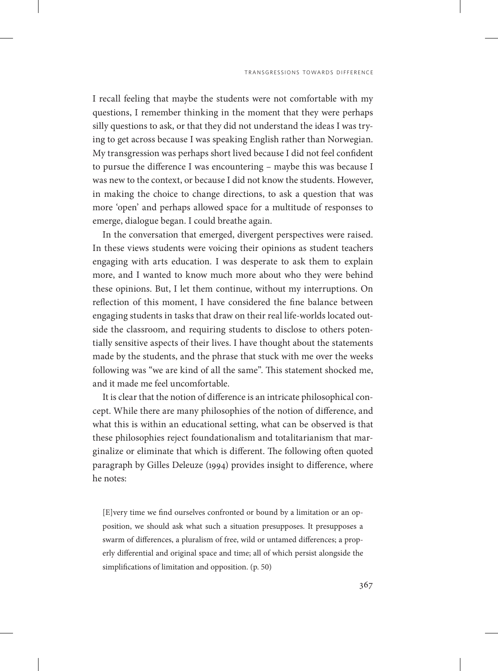I recall feeling that maybe the students were not comfortable with my questions, I remember thinking in the moment that they were perhaps silly questions to ask, or that they did not understand the ideas I was trying to get across because I was speaking English rather than Norwegian. My transgression was perhaps short lived because I did not feel confident to pursue the difference I was encountering – maybe this was because I was new to the context, or because I did not know the students. However, in making the choice to change directions, to ask a question that was more 'open' and perhaps allowed space for a multitude of responses to emerge, dialogue began. I could breathe again.

In the conversation that emerged, divergent perspectives were raised. In these views students were voicing their opinions as student teachers engaging with arts education. I was desperate to ask them to explain more, and I wanted to know much more about who they were behind these opinions. But, I let them continue, without my interruptions. On reflection of this moment, I have considered the fine balance between engaging students in tasks that draw on their real life-worlds located outside the classroom, and requiring students to disclose to others potentially sensitive aspects of their lives. I have thought about the statements made by the students, and the phrase that stuck with me over the weeks following was "we are kind of all the same". This statement shocked me, and it made me feel uncomfortable.

It is clear that the notion of difference is an intricate philosophical concept. While there are many philosophies of the notion of difference, and what this is within an educational setting, what can be observed is that these philosophies reject foundationalism and totalitarianism that marginalize or eliminate that which is different. The following often quoted paragraph by Gilles Deleuze (1994) provides insight to difference, where he notes:

[E]very time we find ourselves confronted or bound by a limitation or an opposition, we should ask what such a situation presupposes. It presupposes a swarm of differences, a pluralism of free, wild or untamed differences; a properly differential and original space and time; all of which persist alongside the simplifications of limitation and opposition. (p. 50)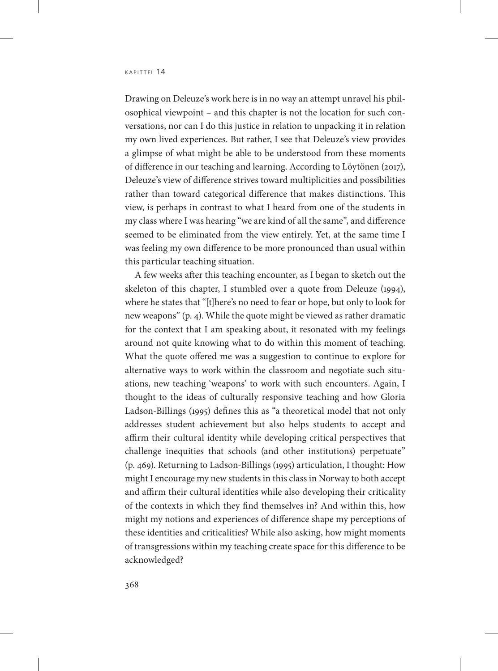Drawing on Deleuze's work here is in no way an attempt unravel his philosophical viewpoint – and this chapter is not the location for such conversations, nor can I do this justice in relation to unpacking it in relation my own lived experiences. But rather, I see that Deleuze's view provides a glimpse of what might be able to be understood from these moments of difference in our teaching and learning. According to Löytönen (2017), Deleuze's view of difference strives toward multiplicities and possibilities rather than toward categorical difference that makes distinctions. This view, is perhaps in contrast to what I heard from one of the students in my class where I was hearing "we are kind of all the same", and difference seemed to be eliminated from the view entirely. Yet, at the same time I was feeling my own difference to be more pronounced than usual within this particular teaching situation.

A few weeks after this teaching encounter, as I began to sketch out the skeleton of this chapter, I stumbled over a quote from Deleuze (1994), where he states that "[t]here's no need to fear or hope, but only to look for new weapons" (p. 4). While the quote might be viewed as rather dramatic for the context that I am speaking about, it resonated with my feelings around not quite knowing what to do within this moment of teaching. What the quote offered me was a suggestion to continue to explore for alternative ways to work within the classroom and negotiate such situations, new teaching 'weapons' to work with such encounters. Again, I thought to the ideas of culturally responsive teaching and how Gloria Ladson-Billings (1995) defines this as "a theoretical model that not only addresses student achievement but also helps students to accept and affirm their cultural identity while developing critical perspectives that challenge inequities that schools (and other institutions) perpetuate" (p. 469). Returning to Ladson-Billings (1995) articulation, I thought: How might I encourage my new students in this class in Norway to both accept and affirm their cultural identities while also developing their criticality of the contexts in which they find themselves in? And within this, how might my notions and experiences of difference shape my perceptions of these identities and criticalities? While also asking, how might moments of transgressions within my teaching create space for this difference to be acknowledged?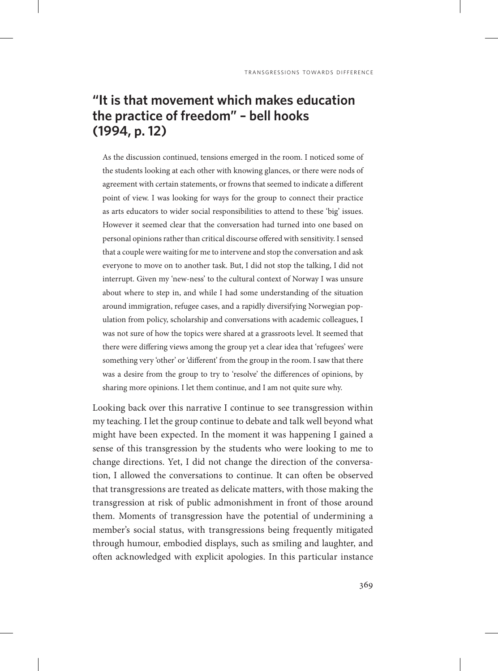# **"It is that movement which makes education the practice of freedom" – bell hooks (1994, p. 12)**

As the discussion continued, tensions emerged in the room. I noticed some of the students looking at each other with knowing glances, or there were nods of agreement with certain statements, or frowns that seemed to indicate a different point of view. I was looking for ways for the group to connect their practice as arts educators to wider social responsibilities to attend to these 'big' issues. However it seemed clear that the conversation had turned into one based on personal opinions rather than critical discourse offered with sensitivity. I sensed that a couple were waiting for me to intervene and stop the conversation and ask everyone to move on to another task. But, I did not stop the talking, I did not interrupt. Given my 'new-ness' to the cultural context of Norway I was unsure about where to step in, and while I had some understanding of the situation around immigration, refugee cases, and a rapidly diversifying Norwegian population from policy, scholarship and conversations with academic colleagues, I was not sure of how the topics were shared at a grassroots level. It seemed that there were differing views among the group yet a clear idea that 'refugees' were something very 'other' or 'different' from the group in the room. I saw that there was a desire from the group to try to 'resolve' the differences of opinions, by sharing more opinions. I let them continue, and I am not quite sure why.

Looking back over this narrative I continue to see transgression within my teaching. I let the group continue to debate and talk well beyond what might have been expected. In the moment it was happening I gained a sense of this transgression by the students who were looking to me to change directions. Yet, I did not change the direction of the conversation, I allowed the conversations to continue. It can often be observed that transgressions are treated as delicate matters, with those making the transgression at risk of public admonishment in front of those around them. Moments of transgression have the potential of undermining a member's social status, with transgressions being frequently mitigated through humour, embodied displays, such as smiling and laughter, and often acknowledged with explicit apologies. In this particular instance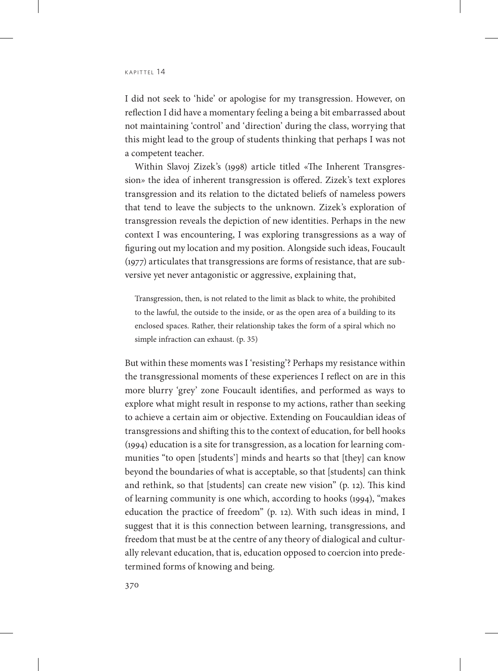$K$  $AP$ ITTFI  $14$ 

I did not seek to 'hide' or apologise for my transgression. However, on reflection I did have a momentary feeling a being a bit embarrassed about not maintaining 'control' and 'direction' during the class, worrying that this might lead to the group of students thinking that perhaps I was not a competent teacher.

Within Slavoj Zizek's (1998) article titled «The Inherent Transgression*»* the idea of inherent transgression is offered. Zizek's text explores transgression and its relation to the dictated beliefs of nameless powers that tend to leave the subjects to the unknown. Zizek's exploration of transgression reveals the depiction of new identities. Perhaps in the new context I was encountering, I was exploring transgressions as a way of figuring out my location and my position. Alongside such ideas, Foucault (1977) articulates that transgressions are forms of resistance, that are subversive yet never antagonistic or aggressive, explaining that,

Transgression, then, is not related to the limit as black to white, the prohibited to the lawful, the outside to the inside, or as the open area of a building to its enclosed spaces. Rather, their relationship takes the form of a spiral which no simple infraction can exhaust. (p. 35)

But within these moments was I 'resisting'? Perhaps my resistance within the transgressional moments of these experiences I reflect on are in this more blurry 'grey' zone Foucault identifies, and performed as ways to explore what might result in response to my actions, rather than seeking to achieve a certain aim or objective. Extending on Foucauldian ideas of transgressions and shifting this to the context of education, for bell hooks (1994) education is a site for transgression, as a location for learning communities "to open [students'] minds and hearts so that [they] can know beyond the boundaries of what is acceptable, so that [students] can think and rethink, so that [students] can create new vision" (p. 12). This kind of learning community is one which, according to hooks (1994), "makes education the practice of freedom" (p. 12). With such ideas in mind, I suggest that it is this connection between learning, transgressions, and freedom that must be at the centre of any theory of dialogical and culturally relevant education, that is, education opposed to coercion into predetermined forms of knowing and being.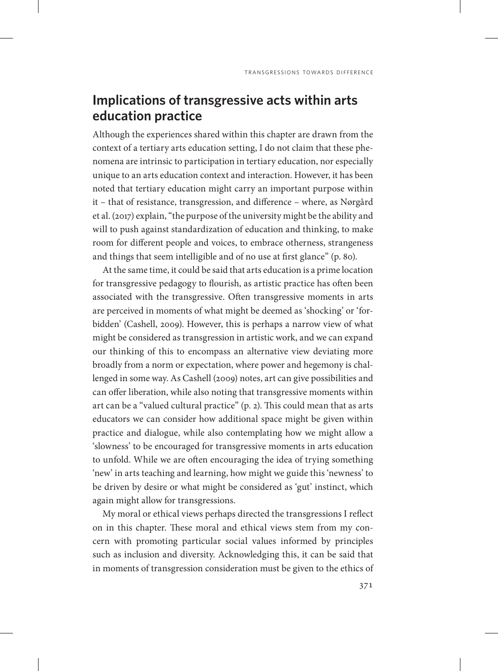# **Implications of transgressive acts within arts education practice**

Although the experiences shared within this chapter are drawn from the context of a tertiary arts education setting, I do not claim that these phenomena are intrinsic to participation in tertiary education, nor especially unique to an arts education context and interaction. However, it has been noted that tertiary education might carry an important purpose within it – that of resistance, transgression, and difference – where, as Nørgård et al. (2017) explain, "the purpose of the university might be the ability and will to push against standardization of education and thinking, to make room for different people and voices, to embrace otherness, strangeness and things that seem intelligible and of no use at first glance" (p. 80).

At the same time, it could be said that arts education is a prime location for transgressive pedagogy to flourish, as artistic practice has often been associated with the transgressive. Often transgressive moments in arts are perceived in moments of what might be deemed as 'shocking' or 'forbidden' (Cashell, 2009). However, this is perhaps a narrow view of what might be considered as transgression in artistic work, and we can expand our thinking of this to encompass an alternative view deviating more broadly from a norm or expectation, where power and hegemony is challenged in some way. As Cashell (2009) notes, art can give possibilities and can offer liberation, while also noting that transgressive moments within art can be a "valued cultural practice" (p. 2). This could mean that as arts educators we can consider how additional space might be given within practice and dialogue, while also contemplating how we might allow a 'slowness' to be encouraged for transgressive moments in arts education to unfold. While we are often encouraging the idea of trying something 'new' in arts teaching and learning, how might we guide this 'newness' to be driven by desire or what might be considered as 'gut' instinct, which again might allow for transgressions.

My moral or ethical views perhaps directed the transgressions I reflect on in this chapter. These moral and ethical views stem from my concern with promoting particular social values informed by principles such as inclusion and diversity. Acknowledging this, it can be said that in moments of transgression consideration must be given to the ethics of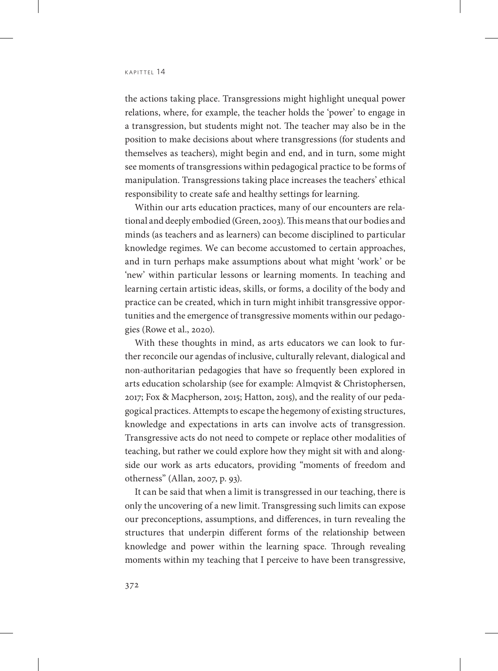the actions taking place. Transgressions might highlight unequal power relations, where, for example, the teacher holds the 'power' to engage in a transgression, but students might not. The teacher may also be in the position to make decisions about where transgressions (for students and themselves as teachers), might begin and end, and in turn, some might see moments of transgressions within pedagogical practice to be forms of manipulation. Transgressions taking place increases the teachers' ethical responsibility to create safe and healthy settings for learning.

Within our arts education practices, many of our encounters are relational and deeply embodied (Green, 2003). This means that our bodies and minds (as teachers and as learners) can become disciplined to particular knowledge regimes. We can become accustomed to certain approaches, and in turn perhaps make assumptions about what might 'work' or be 'new' within particular lessons or learning moments. In teaching and learning certain artistic ideas, skills, or forms, a docility of the body and practice can be created, which in turn might inhibit transgressive opportunities and the emergence of transgressive moments within our pedagogies (Rowe et al., 2020).

With these thoughts in mind, as arts educators we can look to further reconcile our agendas of inclusive, culturally relevant, dialogical and non-authoritarian pedagogies that have so frequently been explored in arts education scholarship (see for example: Almqvist & Christophersen, 2017; Fox & Macpherson, 2015; Hatton, 2015), and the reality of our pedagogical practices. Attempts to escape the hegemony of existing structures, knowledge and expectations in arts can involve acts of transgression. Transgressive acts do not need to compete or replace other modalities of teaching, but rather we could explore how they might sit with and alongside our work as arts educators, providing "moments of freedom and otherness" (Allan, 2007, p. 93).

It can be said that when a limit is transgressed in our teaching, there is only the uncovering of a new limit. Transgressing such limits can expose our preconceptions, assumptions, and differences, in turn revealing the structures that underpin different forms of the relationship between knowledge and power within the learning space. Through revealing moments within my teaching that I perceive to have been transgressive,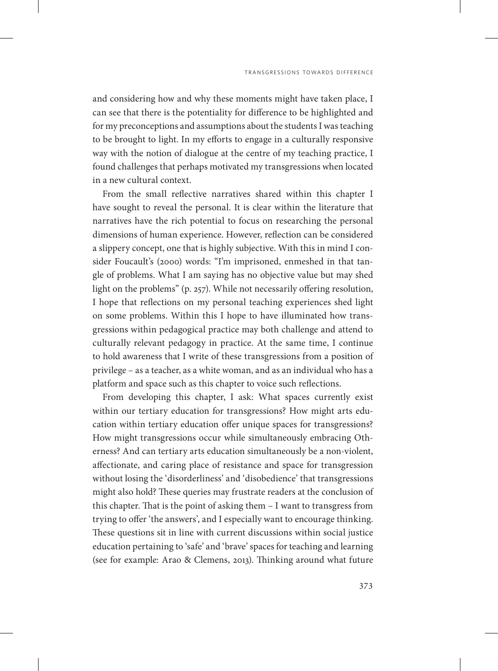and considering how and why these moments might have taken place, I can see that there is the potentiality for difference to be highlighted and for my preconceptions and assumptions about the students I was teaching to be brought to light. In my efforts to engage in a culturally responsive way with the notion of dialogue at the centre of my teaching practice, I found challenges that perhaps motivated my transgressions when located in a new cultural context.

From the small reflective narratives shared within this chapter I have sought to reveal the personal. It is clear within the literature that narratives have the rich potential to focus on researching the personal dimensions of human experience. However, reflection can be considered a slippery concept, one that is highly subjective. With this in mind I consider Foucault's (2000) words: "I'm imprisoned, enmeshed in that tangle of problems. What I am saying has no objective value but may shed light on the problems" (p. 257). While not necessarily offering resolution, I hope that reflections on my personal teaching experiences shed light on some problems. Within this I hope to have illuminated how transgressions within pedagogical practice may both challenge and attend to culturally relevant pedagogy in practice. At the same time, I continue to hold awareness that I write of these transgressions from a position of privilege – as a teacher, as a white woman, and as an individual who has a platform and space such as this chapter to voice such reflections.

From developing this chapter, I ask: What spaces currently exist within our tertiary education for transgressions? How might arts education within tertiary education offer unique spaces for transgressions? How might transgressions occur while simultaneously embracing Otherness? And can tertiary arts education simultaneously be a non-violent, affectionate, and caring place of resistance and space for transgression without losing the 'disorderliness' and 'disobedience' that transgressions might also hold? These queries may frustrate readers at the conclusion of this chapter. That is the point of asking them – I want to transgress from trying to offer 'the answers', and I especially want to encourage thinking. These questions sit in line with current discussions within social justice education pertaining to 'safe' and 'brave' spaces for teaching and learning (see for example: Arao & Clemens, 2013). Thinking around what future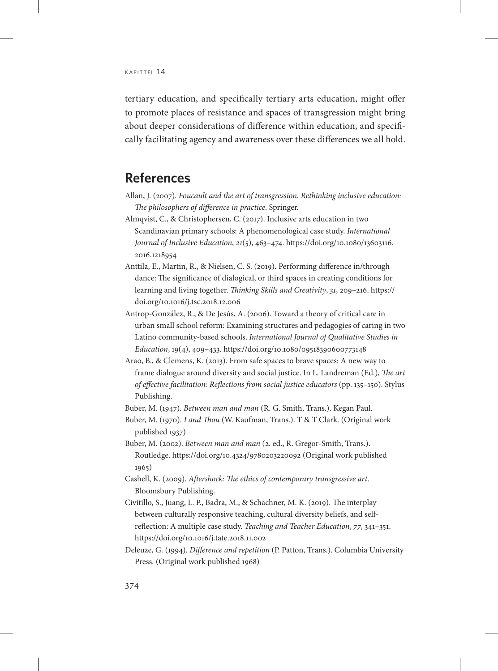tertiary education, and specifically tertiary arts education, might offer to promote places of resistance and spaces of transgression might bring about deeper considerations of difference within education, and specifically facilitating agency and awareness over these differences we all hold.

### **References**

- Allan, J. (2007). *Foucault and the art of transgression. Rethinking inclusive education: The philosophers of difference in practice*. Springer.
- Almqvist, C., & Christophersen, C. (2017). Inclusive arts education in two Scandinavian primary schools: A phenomenological case study. *International Journal of Inclusive Education*, *21*(5), 463–474. [https://doi.org/10.1080/13603116.](https://doi.org/10.1080/13603116.2016.1218954) [2016.1218954](https://doi.org/10.1080/13603116.2016.1218954)
- Anttila, E., Martin, R., & Nielsen, C. S. (2019). Performing difference in/through dance: The significance of dialogical, or third spaces in creating conditions for learning and living together. *Thinking Skills and Creativity*, *31*, 209–216. https:// doi.org/10.1016/j.tsc.2018.12.006
- Antrop‐González, R., & De Jesús, A. (2006). Toward a theory of critical care in urban small school reform: Examining structures and pedagogies of caring in two Latino community‐based schools. *International Journal of Qualitative Studies in Education*, 19(4), 409–433. https://doi.org/10.1080/09518390600773148
- Arao, B., & Clemens, K. (2013). From safe spaces to brave spaces: A new way to frame dialogue around diversity and social justice. In L. Landreman (Ed.), *The art of effective facilitation: Reflections from social justice educators* (pp. 135–150). Stylus Publishing.

Buber, M. (1947). *Between man and man* (R. G. Smith, Trans.). Kegan Paul.

- Buber, M. (1970). *I and Thou* (W. Kaufman, Trans.). T & T Clark. (Original work published 1937)
- Buber, M. (2002). *Between man and man* (2. ed., R. Gregor-Smith, Trans.). Routledge. https://doi.org/10.4324/9780203220092 (Original work published 1965)
- Cashell, K. (2009). *Aftershock: The ethics of contemporary transgressive art*. Bloomsbury Publishing.
- Civitillo, S., Juang, L. P., Badra, M., & Schachner, M. K. (2019). The interplay between culturally responsive teaching, cultural diversity beliefs, and selfreflection: A multiple case study. *Teaching and Teacher Education*, *77*, 341–351. https://doi.org/10.1016/j.tate.2018.11.002
- Deleuze, G. (1994). *Difference and repetition* (P. Patton, Trans.). Columbia University Press. (Original work published 1968)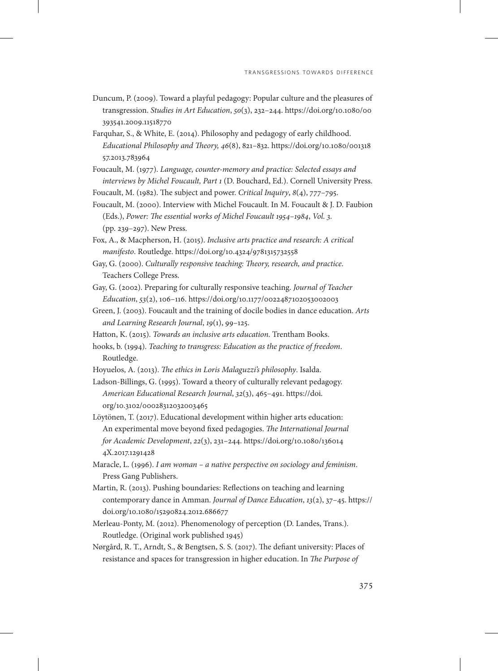- Duncum, P. (2009). Toward a playful pedagogy: Popular culture and the pleasures of transgression. *Studies in Art Education*, *50*(3), 232–244. [https://doi.org/10.1080/00](https://doi.org/10.1080/00393541.2009.11518770) [393541.2009.11518770](https://doi.org/10.1080/00393541.2009.11518770)
- Farquhar, S., & White, E. (2014). Philosophy and pedagogy of early childhood. *Educational Philosophy and Theory, 46*(8), 821–832. [https://doi.org/10.1080/001318](https://doi.org/10.1080/00131857.2013.783964) [57.2013.783964](https://doi.org/10.1080/00131857.2013.783964)
- Foucault, M. (1977). *Language, counter-memory and practice: Selected essays and interviews by Michel Foucault, Part 1* (D. Bouchard, Ed.). Cornell University Press.
- Foucault, M. (1982). The subject and power. *Critical Inquiry*, *8*(4), 777–795.
- Foucault, M. (2000). Interview with Michel Foucault. In M. Foucault & J. D. Faubion (Eds.), *Power: The essential works of Michel Foucault 1954–1984*, *Vol. 3.* (pp. 239–297). New Press.
- Fox, A., & Macpherson, H. (2015). *Inclusive arts practice and research: A critical manifesto*. Routledge. https://doi.org/10.4324/9781315732558
- Gay, G. (2000). *Culturally responsive teaching: Theory, research, and practice*. Teachers College Press.
- Gay, G. (2002). Preparing for culturally responsive teaching. *Journal of Teacher Education*, *53*(2), 106–116. https://doi.org/10.1177/0022487102053002003
- Green, J. (2003). Foucault and the training of docile bodies in dance education. *Arts and Learning Research Journal*, *19*(1), 99–125.
- Hatton, K. (2015). *Towards an inclusive arts education*. Trentham Books.
- hooks, b. (1994). *Teaching to transgress: Education as the practice of freedom*. Routledge.
- Hoyuelos, A. (2013). *The ethics in Loris Malaguzzi's philosophy*. Isalda.
- Ladson-Billings, G. (1995). Toward a theory of culturally relevant pedagogy. *American Educational Research Journal*, *32*(3), 465–491. [https://doi.](https://doi.org/10.3102/00028312032003465) [org/10.3102/00028312032003465](https://doi.org/10.3102/00028312032003465)
- Löytönen, T. (2017). Educational development within higher arts education: An experimental move beyond fixed pedagogies. *The International Journal for Academic Development*, *22*(3), 231–244. [https://doi.org/10.1080/136014](https://doi.org/10.1080/1360144X.2017.1291428) [4X.2017.1291428](https://doi.org/10.1080/1360144X.2017.1291428)
- Maracle, L. (1996). *I am woman a native perspective on sociology and feminism*. Press Gang Publishers.
- Martin, R. (2013). Pushing boundaries: Reflections on teaching and learning contemporary dance in Amman. *Journal of Dance Education*, *13*(2), 37–45. https:// doi.org/10.1080/15290824.2012.686677
- Merleau-Ponty, M. (2012). Phenomenology of perception (D. Landes, Trans.). Routledge. (Original work published 1945)
- Nørgård, R. T., Arndt, S., & Bengtsen, S. S. (2017). The defiant university: Places of resistance and spaces for transgression in higher education. In *The Purpose of*